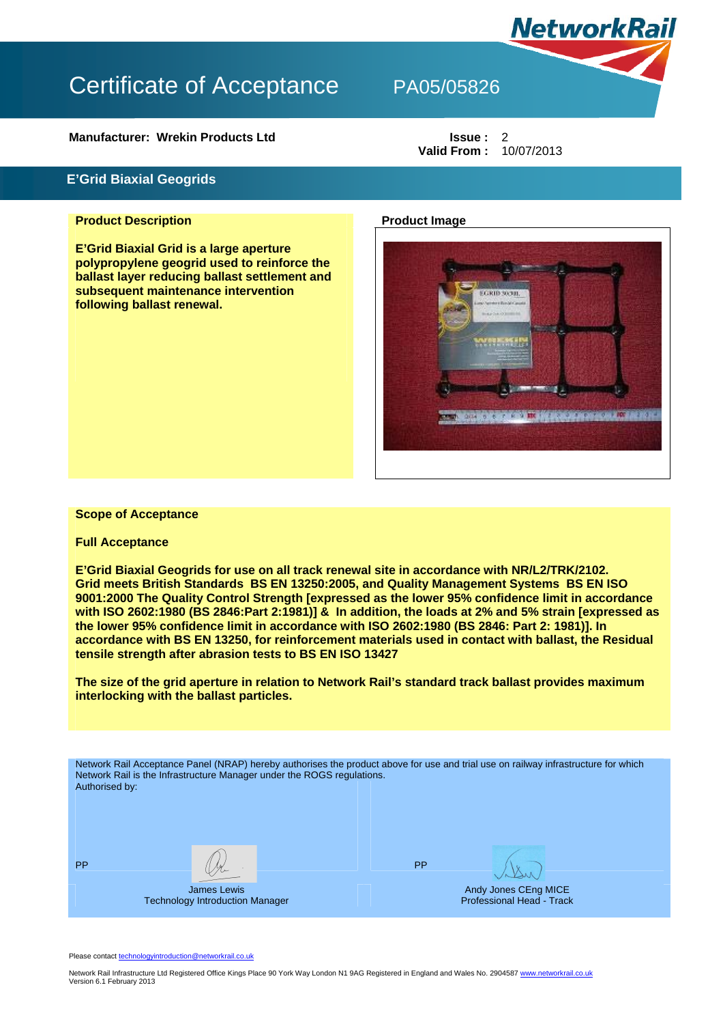**Manufacturer: Wrekin Products Ltd Issue : 2** 

## **E'Grid Biaxial Geogrids**

### **Product Description Product Image 10 April 2016**

**E'Grid Biaxial Grid is a large aperture polypropylene geogrid used to reinforce the ballast layer reducing ballast settlement and subsequent maintenance intervention following ballast renewal.** 



### **Scope of Acceptance**

### **Full Acceptance**

**E'Grid Biaxial Geogrids for use on all track renewal site in accordance with NR/L2/TRK/2102. Grid meets British Standards BS EN 13250:2005, and Quality Management Systems BS EN ISO 9001:2000 The Quality Control Strength [expressed as the lower 95% confidence limit in accordance with ISO 2602:1980 (BS 2846:Part 2:1981)] & In addition, the loads at 2% and 5% strain [expressed as the lower 95% confidence limit in accordance with ISO 2602:1980 (BS 2846: Part 2: 1981)]. In accordance with BS EN 13250, for reinforcement materials used in contact with ballast, the Residual tensile strength after abrasion tests to BS EN ISO 13427** 

**The size of the grid aperture in relation to Network Rail's standard track ballast provides maximum interlocking with the ballast particles.** 

Network Rail Acceptance Panel (NRAP) hereby authorises the product above for use and trial use on railway infrastructure for which Network Rail is the Infrastructure Manager under the ROGS regulations. Authorised by: PP  $\left(\begin{array}{ccc} \mathcal{N} & \mathcal{N} \end{array}\right)$ James Lewis Technology Introduction Manager Andy Jones CEng MICE Professional Head - Track

Please contact technologyintroduction@networkrail.co.uk

Network Rail Infrastructure Ltd Registered Office Kings Place 90 York Way London N1 9AG Registered in England and Wales No. 2904587 www.networkrail.co.uk Version 6.1 February 2013



**Valid From :** 10/07/2013

**NetworkRail**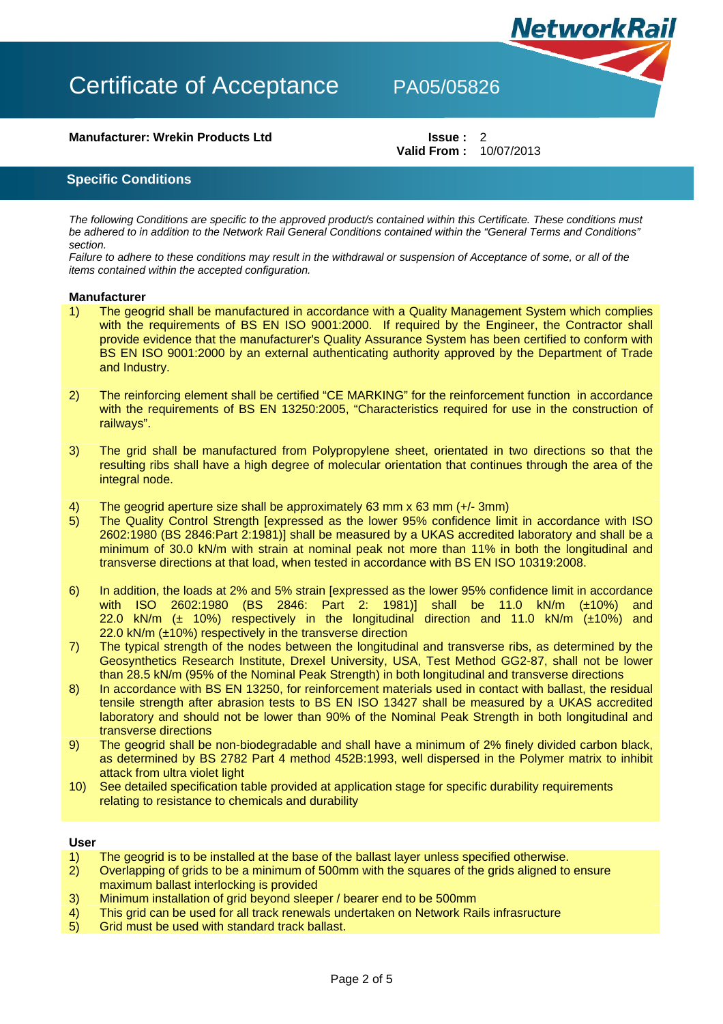## **Manufacturer: Wrekin Products Ltd Issue : 2**

**Valid From :** 10/07/2013

**NetworkRail** 

**Specific Conditions**

*The following Conditions are specific to the approved product/s contained within this Certificate. These conditions must be adhered to in addition to the Network Rail General Conditions contained within the "General Terms and Conditions" section.* 

*Failure to adhere to these conditions may result in the withdrawal or suspension of Acceptance of some, or all of the items contained within the accepted configuration.* 

#### **Manufacturer**

- 1) The geogrid shall be manufactured in accordance with a Quality Management System which complies with the requirements of BS EN ISO 9001:2000. If required by the Engineer, the Contractor shall provide evidence that the manufacturer's Quality Assurance System has been certified to conform with BS EN ISO 9001:2000 by an external authenticating authority approved by the Department of Trade and Industry.
- 2) The reinforcing element shall be certified "CE MARKING" for the reinforcement function in accordance with the requirements of BS EN 13250:2005, "Characteristics required for use in the construction of railways".
- 3) The grid shall be manufactured from Polypropylene sheet, orientated in two directions so that the resulting ribs shall have a high degree of molecular orientation that continues through the area of the integral node.
- 4) The geogrid aperture size shall be approximately 63 mm x 63 mm (+/- 3mm)
- 5) The Quality Control Strength [expressed as the lower 95% confidence limit in accordance with ISO 2602:1980 (BS 2846:Part 2:1981)] shall be measured by a UKAS accredited laboratory and shall be a minimum of 30.0 kN/m with strain at nominal peak not more than 11% in both the longitudinal and transverse directions at that load, when tested in accordance with BS EN ISO 10319:2008.
- 6) In addition, the loads at 2% and 5% strain [expressed as the lower 95% confidence limit in accordance with ISO 2602:1980 (BS 2846: Part 2: 1981)] shall be 11.0 kN/m (±10%) and 22.0 kN/m ( $\pm$  10%) respectively in the longitudinal direction and 11.0 kN/m  $(\pm 10\%)$  and 22.0 kN/m (±10%) respectively in the transverse direction
- 7) The typical strength of the nodes between the longitudinal and transverse ribs, as determined by the Geosynthetics Research Institute, Drexel University, USA, Test Method GG2-87, shall not be lower than 28.5 kN/m (95% of the Nominal Peak Strength) in both longitudinal and transverse directions
- 8) In accordance with BS EN 13250, for reinforcement materials used in contact with ballast, the residual tensile strength after abrasion tests to BS EN ISO 13427 shall be measured by a UKAS accredited laboratory and should not be lower than 90% of the Nominal Peak Strength in both longitudinal and transverse directions
- 9) The geogrid shall be non-biodegradable and shall have a minimum of 2% finely divided carbon black, as determined by BS 2782 Part 4 method 452B:1993, well dispersed in the Polymer matrix to inhibit attack from ultra violet light
- 10) See detailed specification table provided at application stage for specific durability requirements relating to resistance to chemicals and durability

### **User**

- 1) The geogrid is to be installed at the base of the ballast layer unless specified otherwise.
- 2) Overlapping of grids to be a minimum of 500mm with the squares of the grids aligned to ensure maximum ballast interlocking is provided
- 3) Minimum installation of grid beyond sleeper / bearer end to be 500mm
- 4) This grid can be used for all track renewals undertaken on Network Rails infrasructure
- 5) Grid must be used with standard track ballast.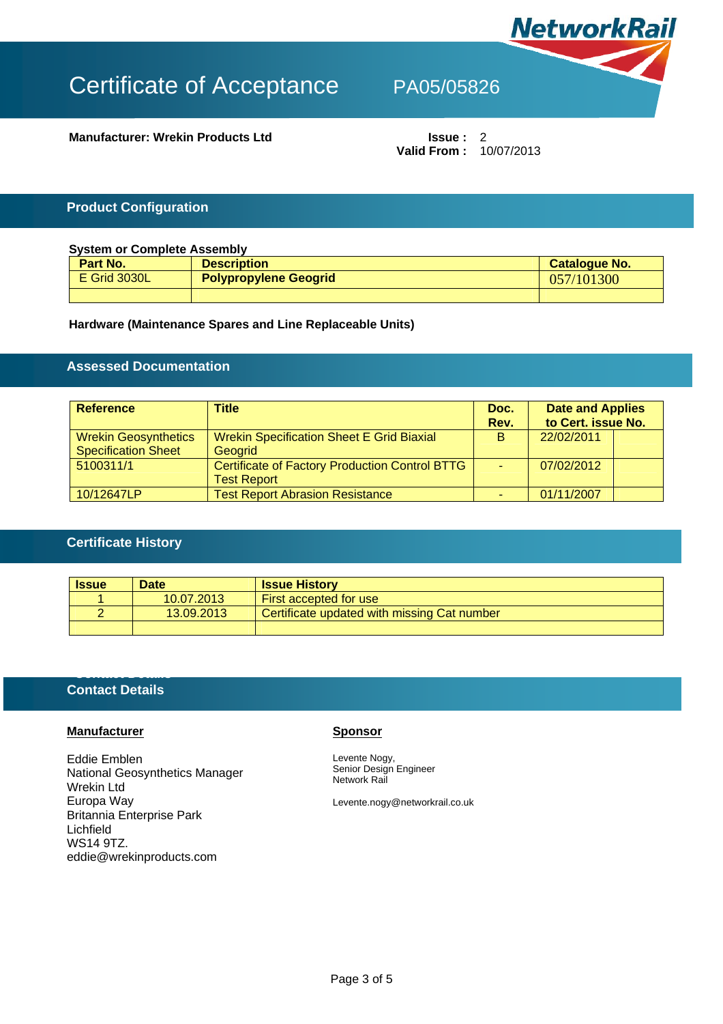

**Manufacturer: Wrekin Products Ltd Issue :** 2

**Valid From :** 10/07/2013

## **Product Configuration**

| <b>System or Complete Assembly</b> |                              |               |  |  |
|------------------------------------|------------------------------|---------------|--|--|
| Part No.                           | <b>Description</b>           | Catalogue No. |  |  |
| <b>E</b> Grid 3030L                | <b>Polypropylene Geogrid</b> | 057/101300    |  |  |
|                                    |                              |               |  |  |

## **Hardware (Maintenance Spares and Line Replaceable Units)**

# **Assessed Documentation**

| <b>Reference</b>                                          | Title                                                                       | Doc.<br>Rev. | <b>Date and Applies</b><br>to Cert. issue No. |  |
|-----------------------------------------------------------|-----------------------------------------------------------------------------|--------------|-----------------------------------------------|--|
| <b>Wrekin Geosynthetics</b><br><b>Specification Sheet</b> | <b>Wrekin Specification Sheet E Grid Biaxial</b><br>Geogrid                 | <b>B</b>     | 22/02/2011                                    |  |
| 5100311/1                                                 | <b>Certificate of Factory Production Control BTTG</b><br><b>Test Report</b> | u.           | 07/02/2012                                    |  |
| 10/12647LP                                                | <b>Test Report Abrasion Resistance</b>                                      |              | 01/11/2007                                    |  |

## **Certificate History**

| <b>Issue</b> | <b>Date</b> | <b>Issue History</b>                        |
|--------------|-------------|---------------------------------------------|
|              | 10.07.2013  | First accepted for use                      |
|              | 13.09.2013  | Certificate updated with missing Cat number |
|              |             |                                             |

## **Contact Details**

**Contact Details** 

## **Manufacturer Sponsor**

Eddie Emblen National Geosynthetics Manager Wrekin Ltd Europa Way Britannia Enterprise Park Lichfield WS14 9TZ. eddie@wrekinproducts.com

Levente Nogy, Senior Design Engineer Network Rail

Levente.nogy@networkrail.co.uk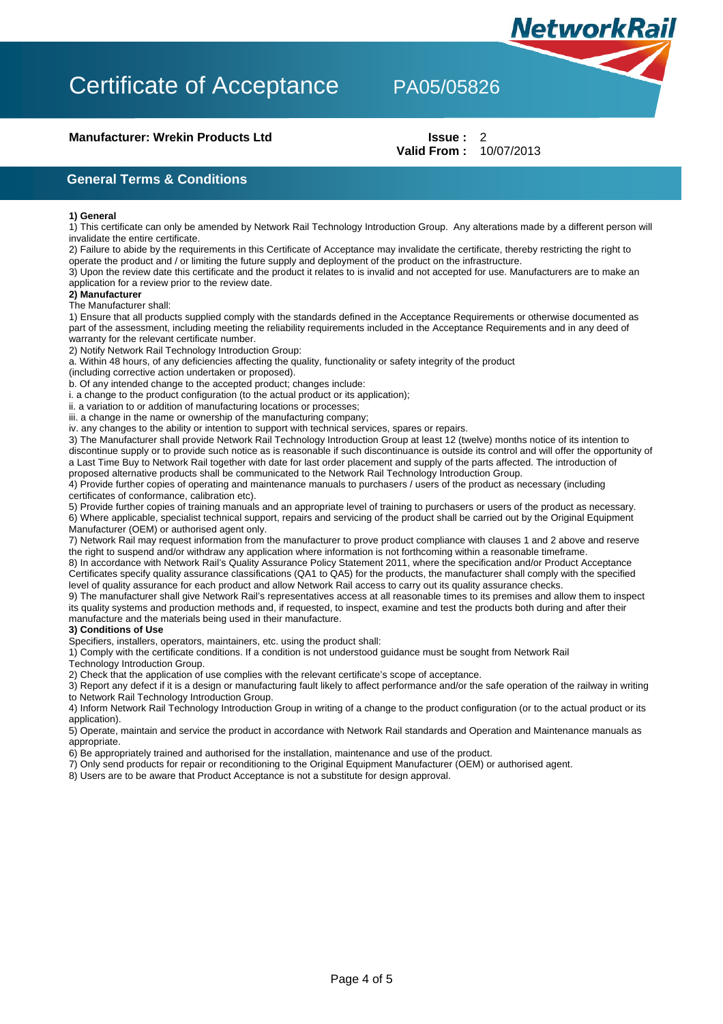### **Manufacturer: Wrekin Products Ltd Issue : 2**

# **Valid From :** 10/07/2013

**NetworkRail** 

**General Terms & Conditions** 

#### **1) General**

1) This certificate can only be amended by Network Rail Technology Introduction Group. Any alterations made by a different person will invalidate the entire certificate.

2) Failure to abide by the requirements in this Certificate of Acceptance may invalidate the certificate, thereby restricting the right to operate the product and / or limiting the future supply and deployment of the product on the infrastructure.

3) Upon the review date this certificate and the product it relates to is invalid and not accepted for use. Manufacturers are to make an application for a review prior to the review date.

### **2) Manufacturer**

The Manufacturer shall:

1) Ensure that all products supplied comply with the standards defined in the Acceptance Requirements or otherwise documented as part of the assessment, including meeting the reliability requirements included in the Acceptance Requirements and in any deed of warranty for the relevant certificate number.

2) Notify Network Rail Technology Introduction Group:

a. Within 48 hours, of any deficiencies affecting the quality, functionality or safety integrity of the product

(including corrective action undertaken or proposed).

b. Of any intended change to the accepted product; changes include:

i. a change to the product configuration (to the actual product or its application);

ii. a variation to or addition of manufacturing locations or processes;

iii. a change in the name or ownership of the manufacturing company;

iv. any changes to the ability or intention to support with technical services, spares or repairs.

3) The Manufacturer shall provide Network Rail Technology Introduction Group at least 12 (twelve) months notice of its intention to discontinue supply or to provide such notice as is reasonable if such discontinuance is outside its control and will offer the opportunity of a Last Time Buy to Network Rail together with date for last order placement and supply of the parts affected. The introduction of proposed alternative products shall be communicated to the Network Rail Technology Introduction Group.

4) Provide further copies of operating and maintenance manuals to purchasers / users of the product as necessary (including certificates of conformance, calibration etc).

5) Provide further copies of training manuals and an appropriate level of training to purchasers or users of the product as necessary. 6) Where applicable, specialist technical support, repairs and servicing of the product shall be carried out by the Original Equipment Manufacturer (OEM) or authorised agent only.

7) Network Rail may request information from the manufacturer to prove product compliance with clauses 1 and 2 above and reserve the right to suspend and/or withdraw any application where information is not forthcoming within a reasonable timeframe.

8) In accordance with Network Rail's Quality Assurance Policy Statement 2011, where the specification and/or Product Acceptance Certificates specify quality assurance classifications (QA1 to QA5) for the products, the manufacturer shall comply with the specified level of quality assurance for each product and allow Network Rail access to carry out its quality assurance checks.

9) The manufacturer shall give Network Rail's representatives access at all reasonable times to its premises and allow them to inspect its quality systems and production methods and, if requested, to inspect, examine and test the products both during and after their manufacture and the materials being used in their manufacture.

#### **3) Conditions of Use**

Specifiers, installers, operators, maintainers, etc. using the product shall:

1) Comply with the certificate conditions. If a condition is not understood guidance must be sought from Network Rail Technology Introduction Group.

2) Check that the application of use complies with the relevant certificate's scope of acceptance.

3) Report any defect if it is a design or manufacturing fault likely to affect performance and/or the safe operation of the railway in writing to Network Rail Technology Introduction Group.

4) Inform Network Rail Technology Introduction Group in writing of a change to the product configuration (or to the actual product or its application).

5) Operate, maintain and service the product in accordance with Network Rail standards and Operation and Maintenance manuals as appropriate.

6) Be appropriately trained and authorised for the installation, maintenance and use of the product.

7) Only send products for repair or reconditioning to the Original Equipment Manufacturer (OEM) or authorised agent.

8) Users are to be aware that Product Acceptance is not a substitute for design approval.